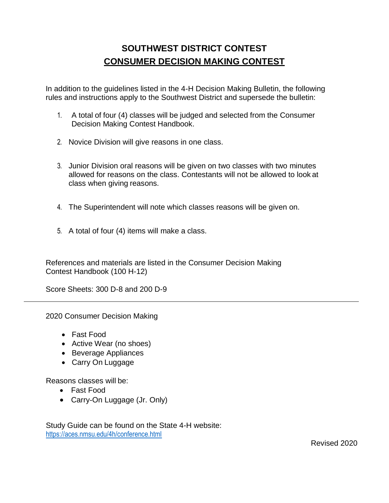# **SOUTHWEST DISTRICT CONTEST CONSUMER DECISION MAKING CONTEST**

In addition to the guidelines listed in the 4-H Decision Making Bulletin, the following rules and instructions apply to the Southwest District and supersede the bulletin:

- 1. A total of four (4) classes will be judged and selected from the Consumer Decision Making Contest Handbook.
- 2. Novice Division will give reasons in one class.
- 3. Junior Division oral reasons will be given on two classes with two minutes allowed for reasons on the class. Contestants will not be allowed to look at class when giving reasons.
- 4. The Superintendent will note which classes reasons will be given on.
- 5. A total of four (4) items will make a class.

References and materials are listed in the Consumer Decision Making Contest Handbook (100 H-12)

Score Sheets: 300 D-8 and 200 D-9

2020 Consumer Decision Making

- Fast Food
- Active Wear (no shoes)
- Beverage Appliances
- Carry On Luggage

Reasons classes will be:

- Fast Food
- Carry-On Luggage (Jr. Only)

Study Guide can be found on the State 4-H website: <https://aces.nmsu.edu/4h/conference.html>

Revised 2020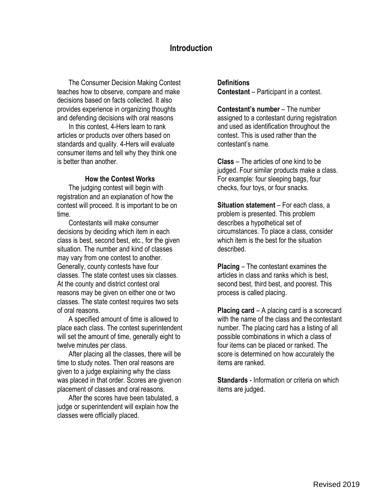# **Introduction**

The Consumer Decision Making Contest teaches how to observe, compare and make decisions based on facts collected. It also provides experience in organizing thoughts and defending decisions with oral reasons

In this contest, 4-Hers learn to rank articles or products over others based on standards and quality. 4-Hers will evaluate consumer items and tell why they think one is better than another.

#### **How the Contest Works**

The judging contest will begin with registration and an explanation of how the contest will proceed. It is important to be on time.

Contestants will make consumer decisions by deciding which item in each class is best, second best, etc., for the given situation. The number and kind of classes may vary from one contest to another. Generally, county contests have four classes. The state contest uses six classes. At the county and district contest oral reasons may be given on either one or two classes. The state contest requires two sets of oral reasons.

A specified amount of time is allowed to place each class. The contest superintendent will set the amount of time, generally eight to twelve minutes per class.

After placing all the classes, there will be time to study notes. Then oral reasons are given to a judge explaining why the class was placed in that order. Scores are givenon placement of classes and oral reasons.

After the scores have been tabulated, a judge or superintendent will explain how the classes were officially placed.

**Definitions Contestant** – Participant in a contest.

**Contestant's number** – The number assigned to a contestant during registration and used as identification throughout the contest. This is used rather than the contestant's name.

**Class** – The articles of one kind to be judged. Four similar products make a class. For example: four sleeping bags, four checks, four toys, or four snacks.

**Situation statement** – For each class, a problem is presented. This problem describes a hypothetical set of circumstances. To place a class, consider which item is the best for the situation described.

**Placing** – The contestant examines the articles in class and ranks which is best, second best, third best, and poorest. This process is called placing.

**Placing card** – A placing card is a scorecard with the name of the class and the contestant number. The placing card has a listing of all possible combinations in which a class of four items can be placed or ranked. The score is determined on how accurately the items are ranked.

**Standards** - Information or criteria on which items are judged.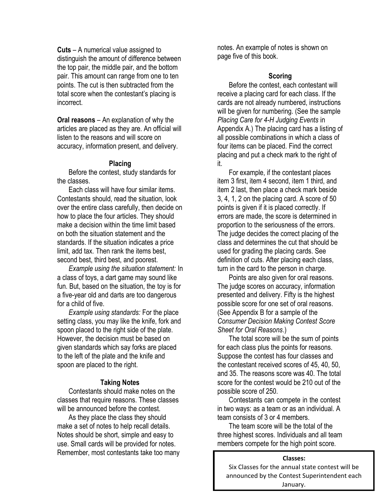**Cuts** – A numerical value assigned to distinguish the amount of difference between the top pair, the middle pair, and the bottom pair. This amount can range from one to ten points. The cut is then subtracted from the total score when the contestant's placing is incorrect.

**Oral reasons** – An explanation of why the articles are placed as they are. An official will listen to the reasons and will score on accuracy, information present, and delivery.

### **Placing**

Before the contest, study standards for the classes.

Each class will have four similar items. Contestants should, read the situation, look over the entire class carefully, then decide on how to place the four articles. They should make a decision within the time limit based on both the situation statement and the standards. If the situation indicates a price limit, add tax. Then rank the items best, second best, third best, and poorest.

*Example using the situation statement:* In a class of toys, a dart game may sound like fun. But, based on the situation, the toy is for a five-year old and darts are too dangerous for a child of five.

*Example using standards:* For the place setting class, you may like the knife, fork and spoon placed to the right side of the plate. However, the decision must be based on given standards which say forks are placed to the left of the plate and the knife and spoon are placed to the right.

#### **Taking Notes**

Contestants should make notes on the classes that require reasons. These classes will be announced before the contest.

As they place the class they should make a set of notes to help recall details. Notes should be short, simple and easy to use. Small cards will be provided for notes. Remember, most contestants take too many notes. An example of notes is shown on page five of this book.

### **Scoring**

Before the contest, each contestant will receive a placing card for each class. If the cards are not already numbered, instructions will be given for numbering. (See the sample *Placing Care for 4-H Judging Events* in Appendix A.) The placing card has a listing of all possible combinations in which a class of four items can be placed. Find the correct placing and put a check mark to the right of it.

For example, if the contestant places item 3 first, item 4 second, item 1 third, and item 2 last, then place a check mark beside 3, 4, 1, 2 on the placing card. A score of 50 points is given if it is placed correctly. If errors are made, the score is determined in proportion to the seriousness of the errors. The judge decides the correct placing of the class and determines the cut that should be used for grading the placing cards. See definition of cuts. After placing each class, turn in the card to the person in charge.

Points are also given for oral reasons. The judge scores on accuracy, information presented and delivery. Fifty is the highest possible score for one set of oral reasons. (See Appendix B for a sample of the *Consumer Decision Making Contest Score Sheet for Oral Reasons*.)

The total score will be the sum of points for each class plus the points for reasons. Suppose the contest has four classes and the contestant received scores of 45, 40, 50, and 35. The reasons score was 40. The total score for the contest would be 210 out of the possible score of 250.

Contestants can compete in the contest in two ways: as a team or as an individual. A team consists of 3 or 4 members.

The team score will be the total of the three highest scores. Individuals and all team members compete for the high point score.

#### **Classes:**

Six Classes for the annual state contest will be announced by the Contest Superintendent each January.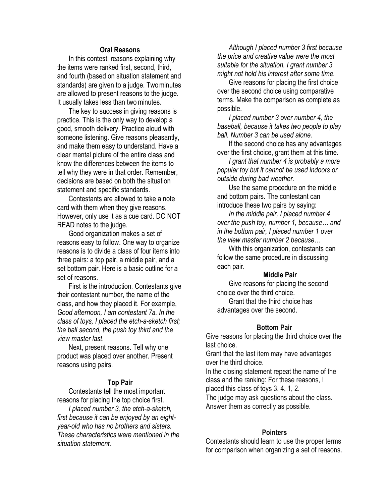### **Oral Reasons**

In this contest, reasons explaining why the items were ranked first, second, third, and fourth (based on situation statement and standards) are given to a judge. Twominutes are allowed to present reasons to the judge. It usually takes less than two minutes.

The key to success in giving reasons is practice. This is the only way to develop a good, smooth delivery. Practice aloud with someone listening. Give reasons pleasantly, and make them easy to understand. Have a clear mental picture of the entire class and know the differences between the items to tell why they were in that order. Remember, decisions are based on both the situation statement and specific standards.

Contestants are allowed to take a note card with them when they give reasons. However, only use it as a cue card. DO NOT READ notes to the judge.

Good organization makes a set of reasons easy to follow. One way to organize reasons is to divide a class of four items into three pairs: a top pair, a middle pair, and a set bottom pair. Here is a basic outline for a set of reasons.

First is the introduction. Contestants give their contestant number, the name of the class, and how they placed it. For example, *Good afternoon, I am contestant 7a. In the class of toys, I placed the etch-a-sketch first; the ball second, the push toy third and the view master last*.

Next, present reasons. Tell why one product was placed over another. Present reasons using pairs.

#### **Top Pair**

Contestants tell the most important reasons for placing the top choice first.

*I placed number 3, the etch-a-sketch, first because it can be enjoyed by an eightyear-old who has no brothers and sisters. These characteristics were mentioned in the situation statement.*

*Although I placed number 3 first because the price and creative value were the most suitable for the situation. I grant number 3 might not hold his interest after some time.*

Give reasons for placing the first choice over the second choice using comparative terms. Make the comparison as complete as possible.

*I placed number 3 over number 4, the baseball, because it takes two people to play ball. Number 3 can be used alone.*

If the second choice has any advantages over the first choice, grant them at this time.

*I grant that number 4 is probably a more popular toy but it cannot be used indoors or outside during bad weather.*

Use the same procedure on the middle and bottom pairs. The contestant can introduce these two pairs by saying:

*In the middle pair, I placed number 4 over the push toy, number 1, because… and in the bottom pair, I placed number 1 over the view master number 2 because…*

With this organization, contestants can follow the same procedure in discussing each pair.

#### **Middle Pair**

Give reasons for placing the second choice over the third choice.

Grant that the third choice has advantages over the second.

#### **Bottom Pair**

Give reasons for placing the third choice over the last choice.

Grant that the last item may have advantages over the third choice.

In the closing statement repeat the name of the class and the ranking: For these reasons, I

placed this class of toys 3, 4, 1, 2.

The judge may ask questions about the class. Answer them as correctly as possible.

#### **Pointers**

Contestants should learn to use the proper terms for comparison when organizing a set of reasons.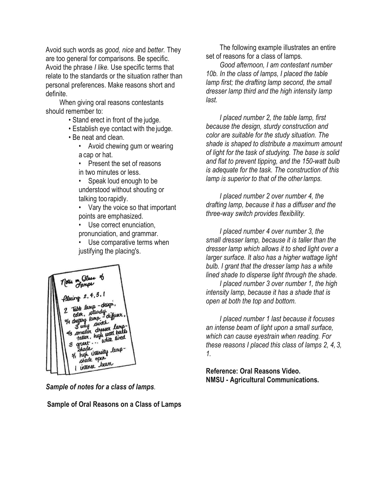Avoid such words as *good, nice* and *better.* They are too general for comparisons. Be specific. Avoid the phrase *I like.* Use specific terms that relate to the standards or the situation rather than personal preferences. Make reasons short and definite.

When giving oral reasons contestants should remember to:

- Stand erect in front of the judge.
- Establish eye contact with the judge.
- Be neat and clean.
	- Avoid chewing gum or wearing a cap or hat.
	- Present the set of reasons in two minutes or less.
	- Speak loud enough to be understood without shouting or talking too rapidly.
	- Vary the voice so that important points are emphasized.
	- Use correct enunciation. pronunciation, and grammar.
	- Use comparative terms when justifying the placing's.



*Sample of notes for a class of lamps.*

**Sample of Oral Reasons on a Class of Lamps**

The following example illustrates an entire set of reasons for a class of lamps.

*Good afternoon, I am contestant number 10b. In the class of lamps, I placed the table lamp first; the drafting lamp second, the small dresser lamp third and the high intensity lamp last.*

*I placed number 2, the table lamp, first because the design, sturdy construction and color are suitable for the study situation. The shade is shaped to distribute a maximum amount of light for the task of studying. The base is solid and flat to prevent tipping, and the 150-watt bulb is adequate for the task. The construction of this lamp is superior to that of the other lamps.*

*I placed number 2 over number 4, the drafting lamp, because it has a diffuser and the three-way switch provides flexibility.*

*I placed number 4 over number 3, the small dresser lamp, because it is taller than the dresser lamp which allows it to shed light over a larger surface. It also has a higher wattage light bulb. I grant that the dresser lamp has a white lined shade to disperse light through the shade.*

*I placed number 3 over number 1, the high intensity lamp, because it has a shade that is open at both the top and bottom.*

*I placed number 1 last because it focuses an intense beam of light upon a small surface, which can cause eyestrain when reading. For these reasons I placed this class of lamps 2, 4, 3, 1.*

**Reference: Oral Reasons Video. NMSU - Agricultural Communications.**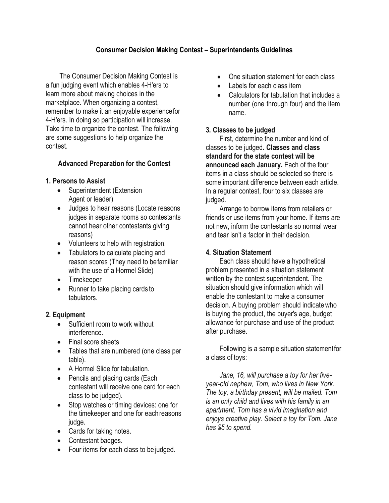# **Consumer Decision Making Contest – Superintendents Guidelines**

The Consumer Decision Making Contest is a fun judging event which enables 4-H'ers to learn more about making choices in the marketplace. When organizing a contest, remember to make it an enjoyable experiencefor 4-H'ers. In doing so participation will increase. Take time to organize the contest. The following are some suggestions to help organize the contest.

### **Advanced Preparation for the Contest**

### **1. Persons to Assist**

- Superintendent (Extension Agent or leader)
- Judges to hear reasons (Locate reasons judges in separate rooms so contestants cannot hear other contestants giving reasons)
- Volunteers to help with registration.
- Tabulators to calculate placing and reason scores (They need to befamiliar with the use of a Hormel Slide)
- Timekeeper
- Runner to take placing cards to tabulators.

### **2. Equipment**

- Sufficient room to work without interference.
- Final score sheets
- Tables that are numbered (one class per table).
- A Hormel Slide for tabulation.
- Pencils and placing cards (Each contestant will receive one card for each class to be judged).
- Stop watches or timing devices: one for the timekeeper and one for eachreasons judge.
- Cards for taking notes.
- Contestant badges.
- Four items for each class to be judged.
- One situation statement for each class
- Labels for each class item
- Calculators for tabulation that includes a number (one through four) and the item name.

### **3. Classes to be judged**

First, determine the number and kind of classes to be judged**. Classes and class standard for the state contest will be announced each January.** Each of the four items in a class should be selected so there is some important difference between each article. In a regular contest, four to six classes are judged.

Arrange to borrow items from retailers or friends or use items from your home. If items are not new, inform the contestants so normal wear and tear isn't a factor in their decision.

### **4. Situation Statement**

Each class should have a hypothetical problem presented in a situation statement written by the contest superintendent. The situation should give information which will enable the contestant to make a consumer decision. A buying problem should indicatewho is buying the product, the buyer's age, budget allowance for purchase and use of the product after purchase.

Following is a sample situation statementfor a class of toys:

*Jane, 16, will purchase a toy for her fiveyear-old nephew, Tom, who lives in New York. The toy, a birthday present, will be mailed. Tom is an only child and lives with his family in an apartment. Tom has a vivid imagination and enjoys creative play. Select a toy for Tom. Jane has \$5 to spend.*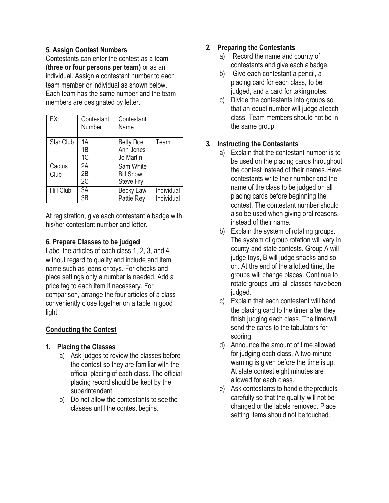### **5. Assign Contest Numbers**

Contestants can enter the contest as a team **(three or four persons per team)** or as an individual. Assign a contestant number to each team member or individual as shown below. Each team has the same number and the team members are designated by letter.

| EX:              | Contestant<br>Number | Contestant<br>Name                         |                          |
|------------------|----------------------|--------------------------------------------|--------------------------|
| <b>Star Club</b> | 1A<br>1B<br>1C       | <b>Betty Doe</b><br>Ann Jones<br>Jo Martin | Team                     |
| Cactus<br>Club   | 2A<br>2B<br>2C       | Sam White<br><b>Bill Snow</b><br>Steve Fry |                          |
| <b>Hill Club</b> | 3A<br>3B             | <b>Becky Law</b><br>Pattie Rey             | Individual<br>Individual |

At registration, give each contestant a badge with his/her contestant number and letter.

### **6. Prepare Classes to be judged**

Label the articles of each class 1, 2, 3, and 4 without regard to quality and include and item name such as jeans or toys. For checks and place settings only a number is needed. Add a price tag to each item if necessary. For comparison, arrange the four articles of a class conveniently close together on a table in good light.

# **Conducting the Contest**

# **1. Placing the Classes**

- a) Ask judges to review the classes before the contest so they are familiar with the official placing of each class. The official placing record should be kept by the superintendent.
- b) Do not allow the contestants to see the classes until the contest begins.

# **2. Preparing the Contestants**

- a) Record the name and county of contestants and give each abadge.
- b) Give each contestant a pencil, a placing card for each class, to be judged, and a card for takingnotes.
- c) Divide the contestants into groups so that an equal number will judge ateach class. Team members should not be in the same group.

# **3. Instructing the Contestants**

- a) Explain that the contestant number is to be used on the placing cards throughout the contest instead of their names.Have contestants write their number and the name of the class to be judged on all placing cards before beginning the contest. The contestant number should also be used when giving oral reasons, instead of their name.
- b) Explain the system of rotating groups. The system of group rotation will vary in county and state contests. Group A will judge toys, B will judge snacks and so on. At the end of the allotted time, the groups will change places. Continue to rotate groups until all classes havebeen judged.
- c) Explain that each contestant will hand the placing card to the timer after they finish judging each class. The timerwill send the cards to the tabulators for scoring.
- d) Announce the amount of time allowed for judging each class. A two-minute warning is given before the time is up. At state contest eight minutes are allowed for each class.
- e) Ask contestants to handle theproducts carefully so that the quality will not be changed or the labels removed. Place setting items should not be touched.